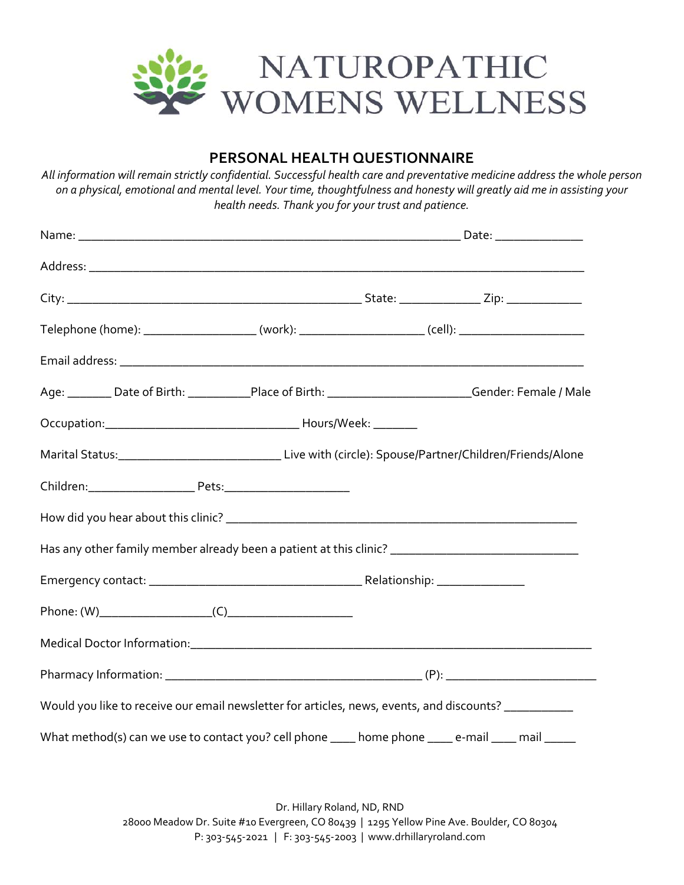

### **PERSONAL HEALTH QUESTIONNAIRE**

All information will remain strictly confidential. Successful health care and preventative medicine address the whole person on a physical, emotional and mental level. Your time, thoughtfulness and honesty will greatly aid me in assisting your *health needs. Thank you for your trust and patience.*

| Telephone (home): _______________________(work): _______________________(cell): _________________________  |  |  |  |
|------------------------------------------------------------------------------------------------------------|--|--|--|
|                                                                                                            |  |  |  |
| Age: ________ Date of Birth: ____________Place of Birth: __________________________Gender: Female / Male   |  |  |  |
|                                                                                                            |  |  |  |
| Marital Status:__________________________________Live with (circle): Spouse/Partner/Children/Friends/Alone |  |  |  |
|                                                                                                            |  |  |  |
|                                                                                                            |  |  |  |
| Has any other family member already been a patient at this clinic? _________________________________       |  |  |  |
|                                                                                                            |  |  |  |
| Phone: $(W)$ (C)                                                                                           |  |  |  |
|                                                                                                            |  |  |  |
|                                                                                                            |  |  |  |
| Would you like to receive our email newsletter for articles, news, events, and discounts? _________        |  |  |  |
| What method(s) can we use to contact you? cell phone ____ home phone ____ e-mail ____ mail _____           |  |  |  |

Dr. Hillary Roland, ND, RND 28000 Meadow Dr. Suite #10 Evergreen, CO 80439 | 1295 Yellow Pine Ave. Boulder, CO 80304 P: 303‐545‐2021 | F: 303‐545‐2003 | www.drhillaryroland.com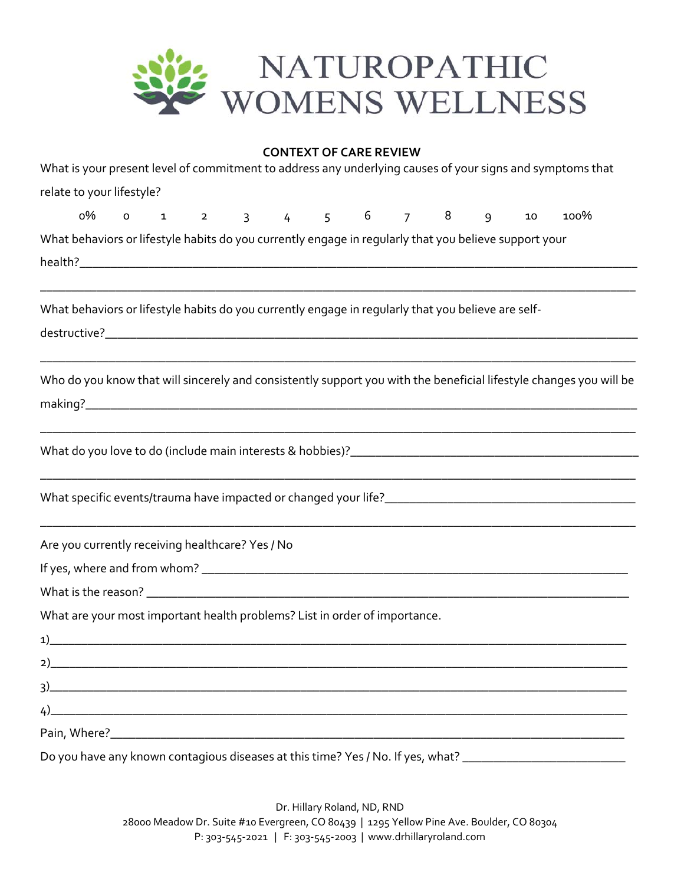

|                                                                                                           |  |  |  | <b>CONTEXT OF CARE REVIEW</b> |  |  |                                                                                                                                                                                                                                            |
|-----------------------------------------------------------------------------------------------------------|--|--|--|-------------------------------|--|--|--------------------------------------------------------------------------------------------------------------------------------------------------------------------------------------------------------------------------------------------|
| What is your present level of commitment to address any underlying causes of your signs and symptoms that |  |  |  |                               |  |  |                                                                                                                                                                                                                                            |
| relate to your lifestyle?                                                                                 |  |  |  |                               |  |  |                                                                                                                                                                                                                                            |
|                                                                                                           |  |  |  |                               |  |  | 0% 0 1 2 3 4 5 6 7 8 9 10 100%                                                                                                                                                                                                             |
| What behaviors or lifestyle habits do you currently engage in regularly that you believe support your     |  |  |  |                               |  |  |                                                                                                                                                                                                                                            |
|                                                                                                           |  |  |  |                               |  |  |                                                                                                                                                                                                                                            |
| What behaviors or lifestyle habits do you currently engage in regularly that you believe are self-        |  |  |  |                               |  |  |                                                                                                                                                                                                                                            |
|                                                                                                           |  |  |  |                               |  |  | <u> 1980 - Jan James James James James James James James James James James James James James James James James J</u><br>Who do you know that will sincerely and consistently support you with the beneficial lifestyle changes you will be |
|                                                                                                           |  |  |  |                               |  |  |                                                                                                                                                                                                                                            |
|                                                                                                           |  |  |  |                               |  |  |                                                                                                                                                                                                                                            |
| Are you currently receiving healthcare? Yes / No                                                          |  |  |  |                               |  |  |                                                                                                                                                                                                                                            |
|                                                                                                           |  |  |  |                               |  |  |                                                                                                                                                                                                                                            |
|                                                                                                           |  |  |  |                               |  |  |                                                                                                                                                                                                                                            |
| What are your most important health problems? List in order of importance.                                |  |  |  |                               |  |  |                                                                                                                                                                                                                                            |
| 1)                                                                                                        |  |  |  |                               |  |  |                                                                                                                                                                                                                                            |
| 2)                                                                                                        |  |  |  |                               |  |  |                                                                                                                                                                                                                                            |
| 3)                                                                                                        |  |  |  |                               |  |  |                                                                                                                                                                                                                                            |
| 4)                                                                                                        |  |  |  |                               |  |  |                                                                                                                                                                                                                                            |
|                                                                                                           |  |  |  |                               |  |  |                                                                                                                                                                                                                                            |
| Do you have any known contagious diseases at this time? Yes / No. If yes, what? _____                     |  |  |  |                               |  |  |                                                                                                                                                                                                                                            |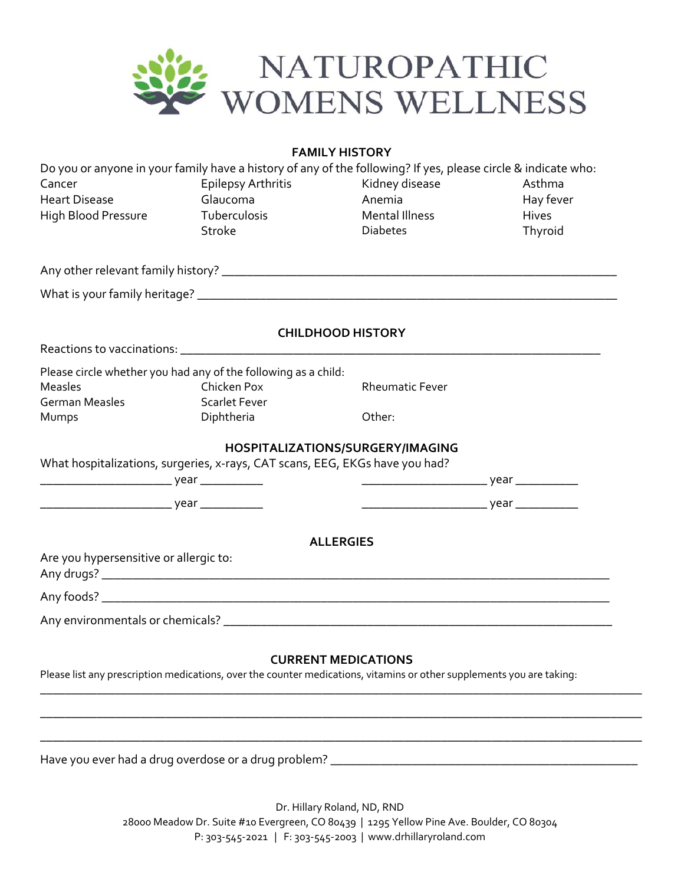

**FAMILY HISTORY**

|                                        | Do you or anyone in your family have a history of any of the following? If yes, please circle & indicate who:         |                                  |           |
|----------------------------------------|-----------------------------------------------------------------------------------------------------------------------|----------------------------------|-----------|
| Cancer                                 | <b>Epilepsy Arthritis</b>                                                                                             | Kidney disease                   | Asthma    |
| <b>Heart Disease</b>                   | Glaucoma                                                                                                              | Anemia                           | Hay fever |
| High Blood Pressure                    | Tuberculosis                                                                                                          | <b>Mental Illness</b>            | Hives     |
|                                        | <b>Stroke</b>                                                                                                         | <b>Diabetes</b>                  | Thyroid   |
|                                        |                                                                                                                       |                                  |           |
|                                        |                                                                                                                       |                                  |           |
|                                        |                                                                                                                       | <b>CHILDHOOD HISTORY</b>         |           |
|                                        |                                                                                                                       |                                  |           |
|                                        | Please circle whether you had any of the following as a child:                                                        |                                  |           |
| <b>Measles</b>                         | Chicken Pox                                                                                                           | <b>Rheumatic Fever</b>           |           |
| <b>German Measles</b>                  | <b>Scarlet Fever</b>                                                                                                  |                                  |           |
| Mumps                                  | Diphtheria                                                                                                            | Other:                           |           |
|                                        |                                                                                                                       | HOSPITALIZATIONS/SURGERY/IMAGING |           |
|                                        | What hospitalizations, surgeries, x-rays, CAT scans, EEG, EKGs have you had?                                          |                                  |           |
|                                        |                                                                                                                       |                                  |           |
|                                        |                                                                                                                       |                                  |           |
|                                        |                                                                                                                       |                                  |           |
|                                        |                                                                                                                       | <b>ALLERGIES</b>                 |           |
| Are you hypersensitive or allergic to: |                                                                                                                       |                                  |           |
|                                        |                                                                                                                       |                                  |           |
|                                        |                                                                                                                       |                                  |           |
|                                        |                                                                                                                       |                                  |           |
|                                        |                                                                                                                       |                                  |           |
|                                        |                                                                                                                       | <b>CURRENT MEDICATIONS</b>       |           |
|                                        | Please list any prescription medications, over the counter medications, vitamins or other supplements you are taking: |                                  |           |
|                                        |                                                                                                                       |                                  |           |
|                                        |                                                                                                                       |                                  |           |

Have you ever had a drug overdose or a drug problem? \_\_\_\_\_\_\_\_\_\_\_\_\_\_\_\_\_\_\_\_\_\_\_\_\_\_\_\_\_\_\_\_\_\_\_\_\_\_\_\_\_\_\_\_\_\_\_\_\_

Dr. Hillary Roland, ND, RND 28000 Meadow Dr. Suite #10 Evergreen, CO 80439 | 1295 Yellow Pine Ave. Boulder, CO 80304 P: 303‐545‐2021 | F: 303‐545‐2003 | www.drhillaryroland.com

\_\_\_\_\_\_\_\_\_\_\_\_\_\_\_\_\_\_\_\_\_\_\_\_\_\_\_\_\_\_\_\_\_\_\_\_\_\_\_\_\_\_\_\_\_\_\_\_\_\_\_\_\_\_\_\_\_\_\_\_\_\_\_\_\_\_\_\_\_\_\_\_\_\_\_\_\_\_\_\_\_\_\_\_\_\_\_\_\_\_\_\_\_\_\_\_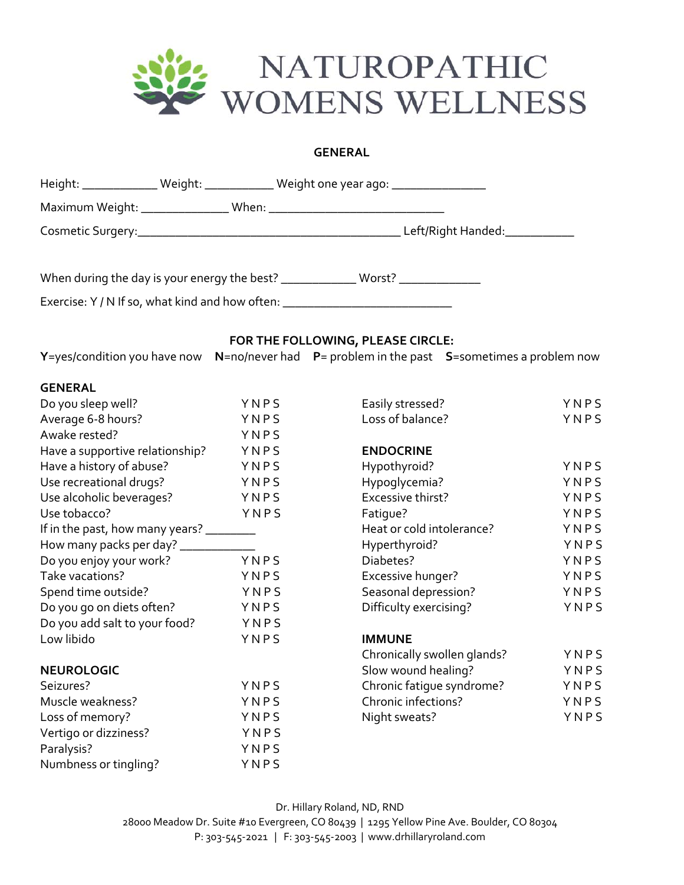

#### **GENERAL**

|                                                                                  |      | Height: ________________ Weight: ______________ Weight one year ago: ____________ |      |
|----------------------------------------------------------------------------------|------|-----------------------------------------------------------------------------------|------|
|                                                                                  |      |                                                                                   |      |
|                                                                                  |      |                                                                                   |      |
|                                                                                  |      | When during the day is your energy the best? ______________ Worst? _____________  |      |
| Exercise: Y / N If so, what kind and how often: ________________________________ |      |                                                                                   |      |
|                                                                                  |      | FOR THE FOLLOWING, PLEASE CIRCLE:                                                 |      |
| Y=yes/condition you have now                                                     |      | $N$ =no/never had $P$ = problem in the past $S$ =sometimes a problem now          |      |
| <b>GENERAL</b>                                                                   |      |                                                                                   |      |
| Do you sleep well?                                                               | YNPS | Easily stressed?                                                                  | YNPS |
| Average 6-8 hours?                                                               | YNPS | Loss of balance?                                                                  | YNPS |
| Awake rested?                                                                    | YNPS |                                                                                   |      |
| Have a supportive relationship?                                                  | YNPS | <b>ENDOCRINE</b>                                                                  |      |
| Have a history of abuse?                                                         | YNPS | Hypothyroid?                                                                      | YNPS |
| Use recreational drugs?                                                          | YNPS | Hypoglycemia?                                                                     | YNPS |
| Use alcoholic beverages?                                                         | YNPS | Excessive thirst?                                                                 | YNPS |
| Use tobacco?                                                                     | YNPS | Fatigue?                                                                          | YNPS |
| If in the past, how many years? _______                                          |      | Heat or cold intolerance?                                                         | YNPS |
| How many packs per day? ____________                                             |      | Hyperthyroid?                                                                     | YNPS |
| Do you enjoy your work?                                                          | YNPS | Diabetes?                                                                         | YNPS |
| Take vacations?                                                                  | YNPS | Excessive hunger?                                                                 | YNPS |
| Spend time outside?                                                              | YNPS | Seasonal depression?                                                              | YNPS |
| Do you go on diets often?                                                        | YNPS | Difficulty exercising?                                                            | YNPS |
| Do you add salt to your food?                                                    | YNPS |                                                                                   |      |
| Low libido                                                                       | YNPS | <b>IMMUNE</b>                                                                     |      |
|                                                                                  |      | Chronically swollen glands?                                                       | YNPS |
| <b>NEUROLOGIC</b>                                                                |      | Slow wound healing?                                                               | YNPS |
| Seizures?                                                                        | YNPS | Chronic fatigue syndrome?                                                         | YNPS |
| Muscle weakness?                                                                 | YNPS | Chronic infections?                                                               | YNPS |
| Loss of memory?                                                                  | YNPS | Night sweats?                                                                     | YNPS |
| Vertigo or dizziness?                                                            | YNPS |                                                                                   |      |
| Paralysis?                                                                       | YNPS |                                                                                   |      |
| Numbness or tingling?                                                            | YNPS |                                                                                   |      |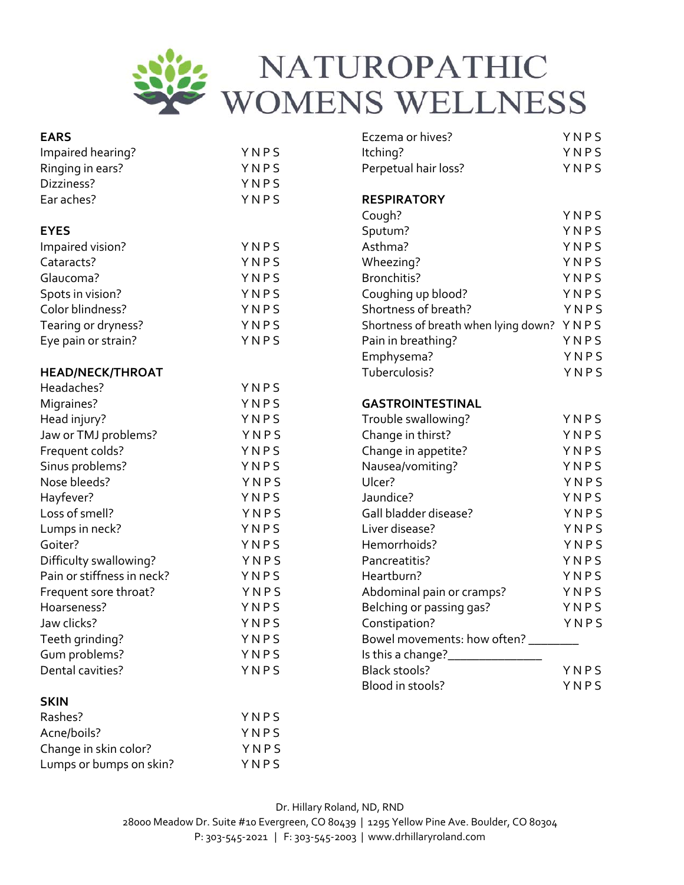

| <b>EARS</b>                |      | Eczema or hives?                     | YNPS |
|----------------------------|------|--------------------------------------|------|
| Impaired hearing?          | YNPS | Itching?                             | YNPS |
| Ringing in ears?           | YNPS | Perpetual hair loss?                 | YNPS |
| Dizziness?                 | YNPS |                                      |      |
| Ear aches?                 | YNPS | <b>RESPIRATORY</b>                   |      |
|                            |      | Cough?                               | YNPS |
| <b>EYES</b>                |      | Sputum?                              | YNPS |
| Impaired vision?           | YNPS | Asthma?                              | YNPS |
| Cataracts?                 | YNPS | Wheezing?                            | YNPS |
| Glaucoma?                  | YNPS | Bronchitis?                          | YNPS |
| Spots in vision?           | YNPS | Coughing up blood?                   | YNPS |
| Color blindness?           | YNPS | Shortness of breath?                 | YNPS |
| Tearing or dryness?        | YNPS | Shortness of breath when lying down? | YNPS |
| Eye pain or strain?        | YNPS | Pain in breathing?                   | YNPS |
|                            |      | Emphysema?                           | YNPS |
| <b>HEAD/NECK/THROAT</b>    |      | Tuberculosis?                        | YNPS |
| Headaches?                 | YNPS |                                      |      |
| Migraines?                 | YNPS | <b>GASTROINTESTINAL</b>              |      |
| Head injury?               | YNPS | Trouble swallowing?                  | YNPS |
| Jaw or TMJ problems?       | YNPS | Change in thirst?                    | YNPS |
| Frequent colds?            | YNPS | Change in appetite?                  | YNPS |
| Sinus problems?            | YNPS | Nausea/vomiting?                     | YNPS |
| Nose bleeds?               | YNPS | Ulcer?                               | YNPS |
| Hayfever?                  | YNPS | Jaundice?                            | YNPS |
| Loss of smell?             | YNPS | Gall bladder disease?                | YNPS |
| Lumps in neck?             | YNPS | Liver disease?                       | YNPS |
| Goiter?                    | YNPS | Hemorrhoids?                         | YNPS |
| Difficulty swallowing?     | YNPS | Pancreatitis?                        | YNPS |
| Pain or stiffness in neck? | YNPS | Heartburn?                           | YNPS |
| Frequent sore throat?      | YNPS | Abdominal pain or cramps?            | YNPS |
| Hoarseness?                | YNPS | Belching or passing gas?             | YNPS |
| Jaw clicks?                | YNPS | Constipation?                        | YNPS |
| Teeth grinding?            | YNPS | Bowel movements: how often? _______  |      |
| Gum problems?              | YNPS |                                      |      |
| Dental cavities?           | YNPS | <b>Black stools?</b>                 | YNPS |
|                            |      | Blood in stools?                     | YNPS |
| <b>SKIN</b>                |      |                                      |      |
| Rashes?                    | YNPS |                                      |      |
| Acne/boils?                | YNPS |                                      |      |
| Change in skin color?      | YNPS |                                      |      |
| Lumps or bumps on skin?    | YNPS |                                      |      |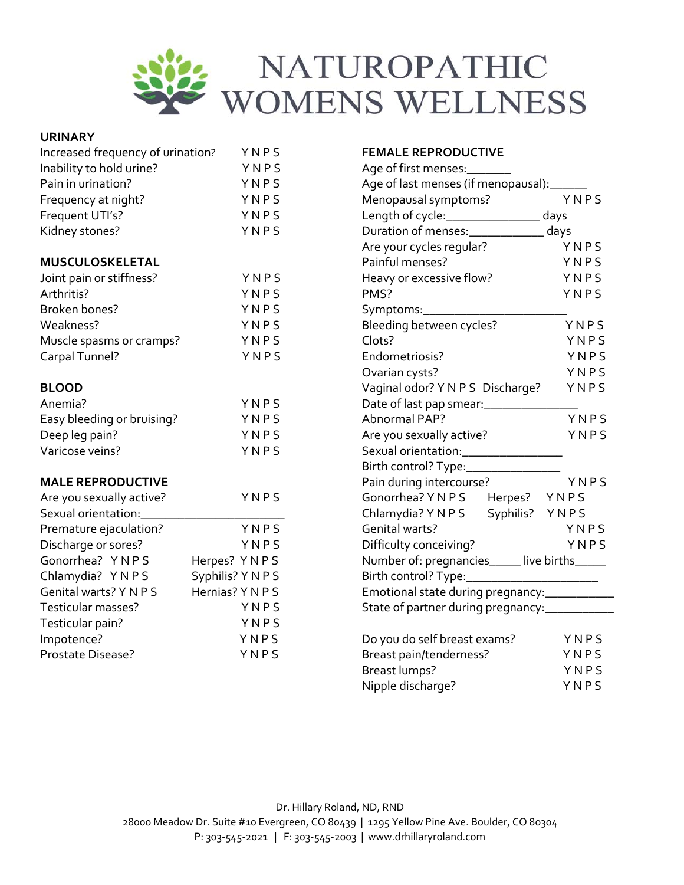

| <b>URINARY</b>                    |                   |                                                                      |                           |  |  |
|-----------------------------------|-------------------|----------------------------------------------------------------------|---------------------------|--|--|
| Increased frequency of urination? | YNPS              | <b>FEMALE REPRODUCTIVE</b>                                           |                           |  |  |
| Inability to hold urine?          | YNPS              | Age of first menses:________                                         |                           |  |  |
| Pain in urination?                | YNPS              | Age of last menses (if menopausal): ______                           |                           |  |  |
| Frequency at night?               | YNPS              | Menopausal symptoms?<br>Length of cycle: ______________________ days | YNPS                      |  |  |
| Frequent UTI's?                   | YNPS              |                                                                      |                           |  |  |
| Kidney stones?                    | YNPS              | Duration of menses:______________ days                               |                           |  |  |
|                                   |                   | Are your cycles regular?                                             | YNPS                      |  |  |
| MUSCULOSKELETAL                   |                   | Painful menses?                                                      | YNPS                      |  |  |
| Joint pain or stiffness?          | YNPS              | Heavy or excessive flow?                                             | <b>Example 19</b> Y N P S |  |  |
| Arthritis?                        | YNPS              | PMS?                                                                 | YNPS                      |  |  |
| Broken bones?                     | YNPS              | Symptoms:______________________                                      |                           |  |  |
| Weakness?                         | YNPS              | Bleeding between cycles?                                             | YNPS                      |  |  |
| Muscle spasms or cramps?          | YNPS              | Clots?                                                               | YNPS                      |  |  |
| Carpal Tunnel?                    | YNPS              | Endometriosis?                                                       | YNPS                      |  |  |
|                                   |                   | Ovarian cysts?                                                       | YNPS                      |  |  |
| <b>BLOOD</b>                      |                   | Vaginal odor? Y N P S Discharge?                                     | YNPS                      |  |  |
| Anemia?                           | YNPS              | Date of last pap smear: ____________                                 |                           |  |  |
| Easy bleeding or bruising?        | YNPS              | Abnormal PAP?                                                        | YNPS                      |  |  |
| Deep leg pain?                    | YNPS              | Are you sexually active?                                             | YNPS                      |  |  |
| Varicose veins?                   | YNPS              | Sexual orientation:_________________                                 |                           |  |  |
|                                   |                   | Birth control? Type:______________                                   |                           |  |  |
| <b>MALE REPRODUCTIVE</b>          |                   | Pain during intercourse?                                             | YNPS                      |  |  |
| Are you sexually active?          | YNPS              | Gonorrhea? YNPS Herpes? YNPS                                         |                           |  |  |
| Sexual orientation:               |                   | Chlamydia? Y N P S   Syphilis?  Y N P S                              |                           |  |  |
| Premature ejaculation?            | YNPS              | Genital warts?                                                       | YNPS                      |  |  |
| Discharge or sores?               | YNPS              | Difficulty conceiving?                                               | YNPS                      |  |  |
| Gonorrhea? YNPS                   | Herpes? YNPS      | Number of: pregnancies_____ live births_____                         |                           |  |  |
| Chlamydia? YNPS                   | Syphilis? Y N P S | Birth control? Type:_______________________                          |                           |  |  |
| Genital warts? Y N P S            | Hernias? Y N P S  | Emotional state during pregnancy:_____________                       |                           |  |  |
| Testicular masses?                | YNPS              | State of partner during pregnancy:___________                        |                           |  |  |
| Testicular pain?                  | YNPS              |                                                                      |                           |  |  |
| Impotence?                        | YNPS              | Do you do self breast exams?                                         | YNPS                      |  |  |
| Prostate Disease?                 | YNPS              | Breast pain/tenderness?                                              | YNPS                      |  |  |
|                                   |                   | <b>Breast lumps?</b>                                                 | YNPS                      |  |  |

Nipple discharge? Y N P S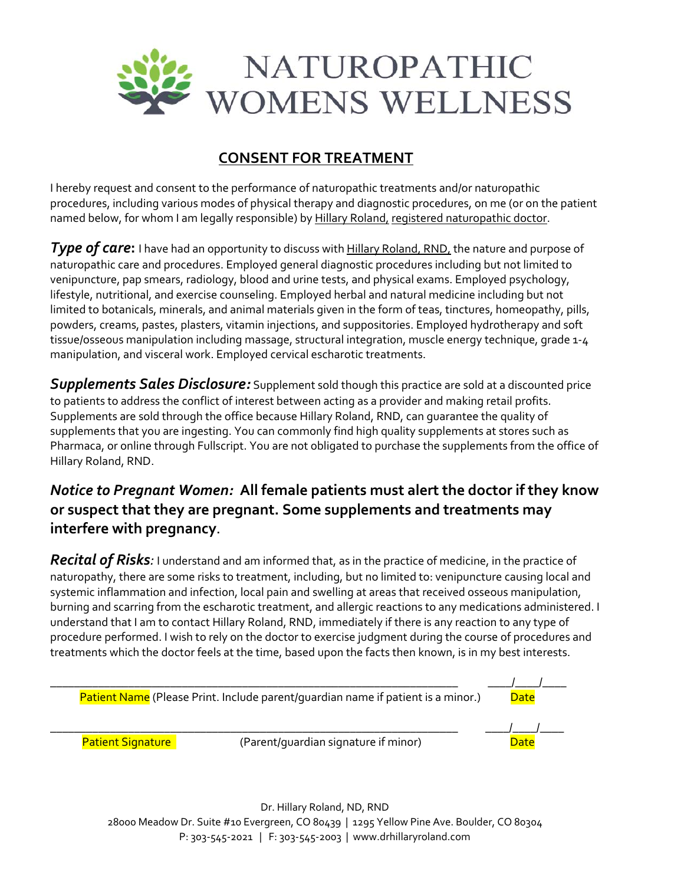

## **CONSENT FOR TREATMENT**

I hereby request and consent to the performance of naturopathic treatments and/or naturopathic procedures, including various modes of physical therapy and diagnostic procedures, on me (or on the patient named below, for whom I am legally responsible) by Hillary Roland, registered naturopathic doctor.

**Type of care:** I have had an opportunity to discuss with Hillary Roland, RND, the nature and purpose of naturopathic care and procedures. Employed general diagnostic procedures including but not limited to venipuncture, pap smears, radiology, blood and urine tests, and physical exams. Employed psychology, lifestyle, nutritional, and exercise counseling. Employed herbal and natural medicine including but not limited to botanicals, minerals, and animal materials given in the form of teas, tinctures, homeopathy, pills, powders, creams, pastes, plasters, vitamin injections, and suppositories. Employed hydrotherapy and soft tissue/osseous manipulation including massage, structural integration, muscle energy technique, grade 1‐4 manipulation, and visceral work. Employed cervical escharotic treatments.

*Supplements Sales Disclosure:* Supplement sold though this practice are sold at a discounted price to patients to address the conflict of interest between acting as a provider and making retail profits. Supplements are sold through the office because Hillary Roland, RND, can guarantee the quality of supplements that you are ingesting. You can commonly find high quality supplements at stores such as Pharmaca, or online through Fullscript. You are not obligated to purchase the supplements from the office of Hillary Roland, RND.

# *Notice to Pregnant Women:* **All female patients must alert the doctor if they know or suspect that they are pregnant. Some supplements and treatments may interfere with pregnancy.**

*Recital of Risks:* I understand and am informed that, as in the practice of medicine, in the practice of naturopathy, there are some risks to treatment, including, but no limited to: venipuncture causing local and systemic inflammation and infection, local pain and swelling at areas that received osseous manipulation, burning and scarring from the escharotic treatment, and allergic reactions to any medications administered. I understand that I am to contact Hillary Roland, RND, immediately if there is any reaction to any type of procedure performed. I wish to rely on the doctor to exercise judgment during the course of procedures and treatments which the doctor feels at the time, based upon the facts then known, is in my best interests.

| Patient Name (Please Print. Include parent/quardian name if patient is a minor.) |                                      |      |  |  |
|----------------------------------------------------------------------------------|--------------------------------------|------|--|--|
|                                                                                  |                                      |      |  |  |
| <b>Patient Signature</b>                                                         | (Parent/quardian signature if minor) | Date |  |  |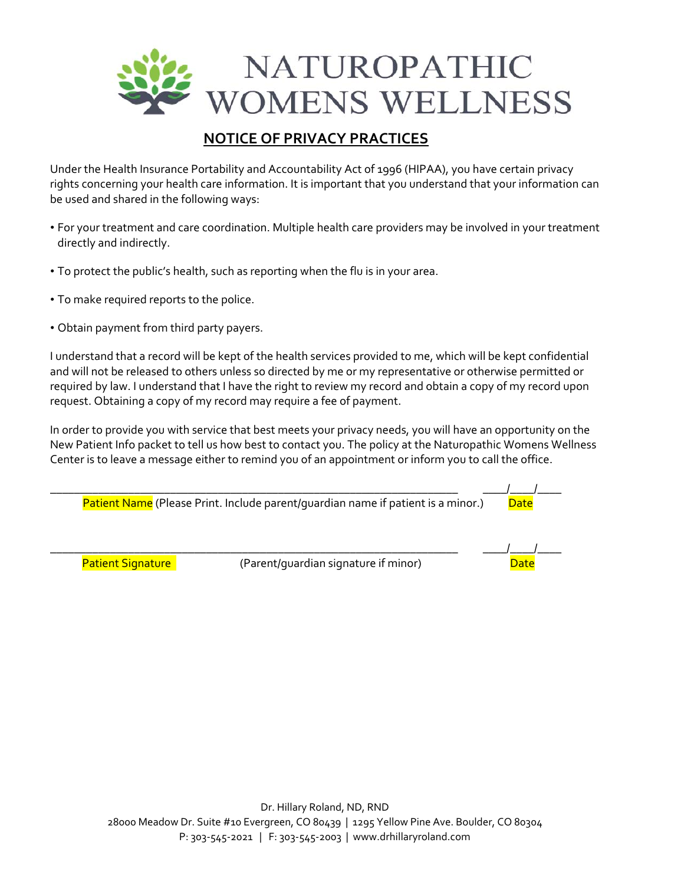

## **NOTICE OF PRIVACY PRACTICES**

Under the Health Insurance Portability and Accountability Act of 1996 (HIPAA), you have certain privacy rights concerning your health care information. It is important that you understand that your information can be used and shared in the following ways:

- For your treatment and care coordination. Multiple health care providers may be involved in your treatment directly and indirectly.
- To protect the public's health, such as reporting when the flu is in your area.
- To make required reports to the police.
- Obtain payment from third party payers.

I understand that a record will be kept of the health services provided to me, which will be kept confidential and will not be released to others unless so directed by me or my representative or otherwise permitted or required by law. I understand that I have the right to review my record and obtain a copy of my record upon request. Obtaining a copy of my record may require a fee of payment.

In order to provide you with service that best meets your privacy needs, you will have an opportunity on the New Patient Info packet to tell us how best to contact you. The policy at the Naturopathic Womens Wellness Center is to leave a message either to remind you of an appointment or inform you to call the office.

| Patient Name (Please Print. Include parent/quardian name if patient is a minor.) | Date                                 |             |
|----------------------------------------------------------------------------------|--------------------------------------|-------------|
|                                                                                  |                                      |             |
| <b>Patient Signature</b>                                                         | (Parent/quardian signature if minor) | <b>Date</b> |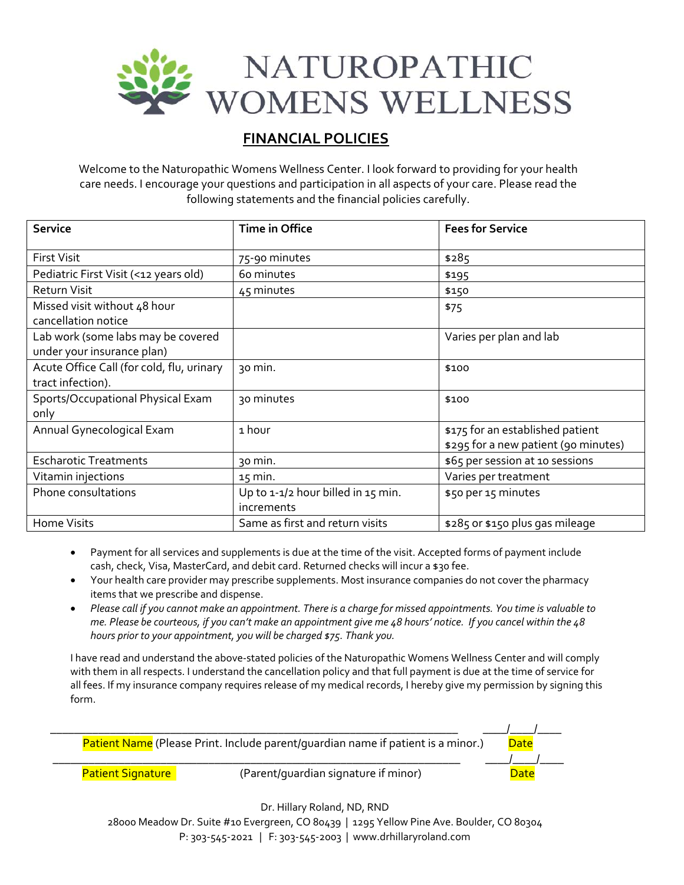

## **FINANCIAL POLICIES**

Welcome to the Naturopathic Womens Wellness Center. I look forward to providing for your health care needs. I encourage your questions and participation in all aspects of your care. Please read the following statements and the financial policies carefully.

| <b>Service</b>                                                   | Time in Office                                   | <b>Fees for Service</b>                                                  |
|------------------------------------------------------------------|--------------------------------------------------|--------------------------------------------------------------------------|
| <b>First Visit</b>                                               | 75-90 minutes                                    | \$285                                                                    |
| Pediatric First Visit (<12 years old)                            | 60 minutes                                       | \$195                                                                    |
| <b>Return Visit</b>                                              | 45 minutes                                       | \$150                                                                    |
| Missed visit without 48 hour<br>cancellation notice              |                                                  | \$75                                                                     |
| Lab work (some labs may be covered<br>under your insurance plan) |                                                  | Varies per plan and lab                                                  |
| Acute Office Call (for cold, flu, urinary<br>tract infection).   | 30 min.                                          | \$100                                                                    |
| Sports/Occupational Physical Exam<br>only                        | 30 minutes                                       | \$100                                                                    |
| Annual Gynecological Exam                                        | 1 hour                                           | \$175 for an established patient<br>\$295 for a new patient (90 minutes) |
| <b>Escharotic Treatments</b>                                     | 30 min.                                          | \$65 per session at 10 sessions                                          |
| Vitamin injections                                               | $15$ min.                                        | Varies per treatment                                                     |
| Phone consultations                                              | Up to 1-1/2 hour billed in 15 min.<br>increments | \$50 per 15 minutes                                                      |
| Home Visits                                                      | Same as first and return visits                  | \$285 or \$150 plus gas mileage                                          |

- Payment for all services and supplements is due at the time of the visit. Accepted forms of payment include cash, check, Visa, MasterCard, and debit card. Returned checks will incur a \$30 fee.
- Your health care provider may prescribe supplements. Most insurance companies do not cover the pharmacy items that we prescribe and dispense.
- Please call if you cannot make an appointment. There is a charge for missed appointments. You time is valuable to me. Please be courteous, if you can't make an appointment give me 48 hours' notice. If you cancel within the 48 *hours prior to your appointment, you will be charged \$75. Thank you.*

I have read and understand the above‐stated policies of the Naturopathic Womens Wellness Center and will comply with them in all respects. I understand the cancellation policy and that full payment is due at the time of service for all fees. If my insurance company requires release of my medical records, I hereby give my permission by signing this form.

| Patient Name (Please Print. Include parent/quardian name if patient is a minor.) | Date                                 |      |
|----------------------------------------------------------------------------------|--------------------------------------|------|
|                                                                                  |                                      |      |
| <b>Patient Signature</b>                                                         | (Parent/quardian signature if minor) | Date |

Dr. Hillary Roland, ND, RND

28000 Meadow Dr. Suite #10 Evergreen, CO 80439 | 1295 Yellow Pine Ave. Boulder, CO 80304 P: 303‐545‐2021 | F: 303‐545‐2003 | www.drhillaryroland.com